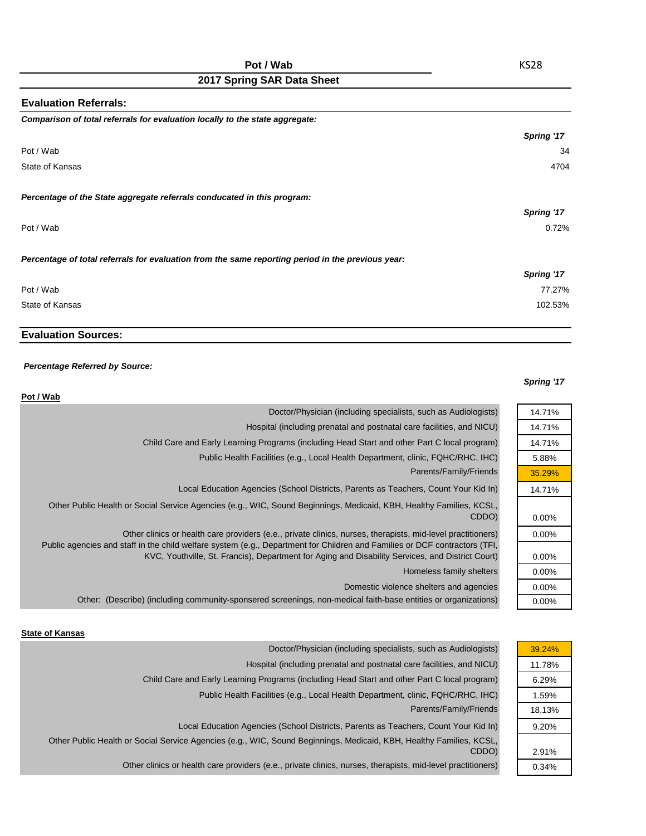| <b>Evaluation Referrals:</b>                                                                      |                   |
|---------------------------------------------------------------------------------------------------|-------------------|
| Comparison of total referrals for evaluation locally to the state aggregate:                      |                   |
|                                                                                                   | Spring '17        |
| Pot / Wab                                                                                         | 34                |
| State of Kansas                                                                                   | 4704              |
| Percentage of the State aggregate referrals conducated in this program:                           |                   |
|                                                                                                   | <b>Spring '17</b> |
| Pot / Wab                                                                                         | 0.72%             |
| Percentage of total referrals for evaluation from the same reporting period in the previous year: |                   |
|                                                                                                   | Spring '17        |
| Pot / Wab                                                                                         | 77.27%            |
| State of Kansas                                                                                   | 102.53%           |

## **Evaluation Sources:**

### *Percentage Referred by Source:*

#### *Spring '17*

| Pot / Wab                                                                                                                                                                                                                      |          |
|--------------------------------------------------------------------------------------------------------------------------------------------------------------------------------------------------------------------------------|----------|
| Doctor/Physician (including specialists, such as Audiologists)                                                                                                                                                                 | 14.71%   |
| Hospital (including prenatal and postnatal care facilities, and NICU)                                                                                                                                                          | 14.71%   |
| Child Care and Early Learning Programs (including Head Start and other Part C local program)                                                                                                                                   | 14.71%   |
| Public Health Facilities (e.g., Local Health Department, clinic, FQHC/RHC, IHC)                                                                                                                                                | 5.88%    |
| Parents/Family/Friends                                                                                                                                                                                                         | 35.29%   |
| Local Education Agencies (School Districts, Parents as Teachers, Count Your Kid In)                                                                                                                                            | 14.71%   |
| Other Public Health or Social Service Agencies (e.g., WIC, Sound Beginnings, Medicaid, KBH, Healthy Families, KCSL,<br>CDDO)                                                                                                   | $0.00\%$ |
| Other clinics or health care providers (e.e., private clinics, nurses, therapists, mid-level practitioners)                                                                                                                    | $0.00\%$ |
| Public agencies and staff in the child welfare system (e.g., Department for Children and Families or DCF contractors (TFI,<br>KVC, Youthville, St. Francis), Department for Aging and Disability Services, and District Court) | $0.00\%$ |
| Homeless family shelters                                                                                                                                                                                                       | $0.00\%$ |
| Domestic violence shelters and agencies                                                                                                                                                                                        | $0.00\%$ |
| Other: (Describe) (including community-sponsered screenings, non-medical faith-base entities or organizations)                                                                                                                 | $0.00\%$ |
|                                                                                                                                                                                                                                |          |

#### **State of Kansas**

| 39.24% |
|--------|
| 11.78% |
| 6.29%  |
| 1.59%  |
| 18.13% |
| 9.20%  |
|        |
| 2.91%  |
| 0.34%  |
|        |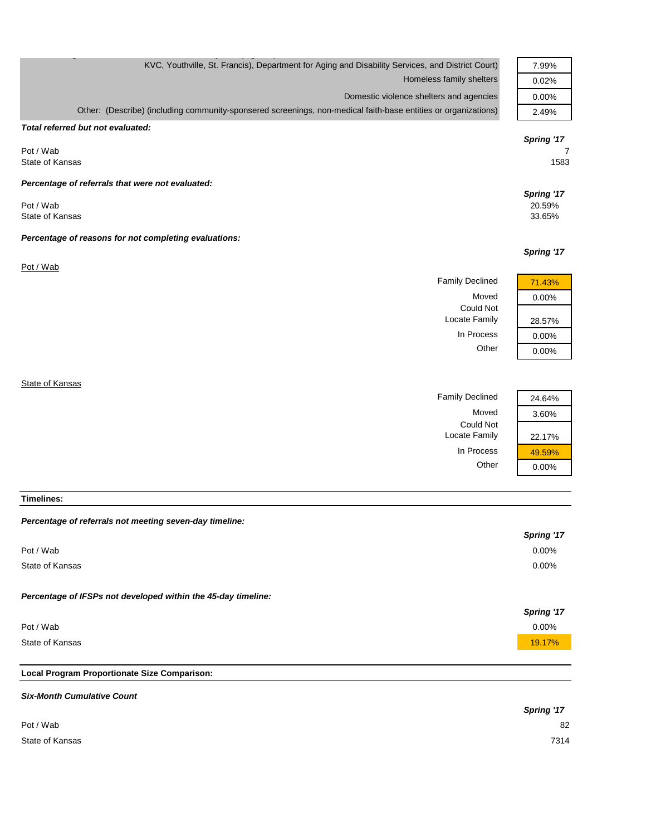| KVC, Youthville, St. Francis), Department for Aging and Disability Services, and District Court)               | 7.99%      |
|----------------------------------------------------------------------------------------------------------------|------------|
| Homeless family shelters                                                                                       | 0.02%      |
| Domestic violence shelters and agencies                                                                        | 0.00%      |
| Other: (Describe) (including community-sponsered screenings, non-medical faith-base entities or organizations) | 2.49%      |
| Total referred but not evaluated:                                                                              |            |
|                                                                                                                | Spring '17 |
| Pot / Wab                                                                                                      | 7          |
| State of Kansas                                                                                                | 1583       |
| Percentage of referrals that were not evaluated:                                                               |            |
|                                                                                                                | Spring '17 |
| Pot / Wab                                                                                                      | 20.59%     |
| State of Kansas                                                                                                | 33.65%     |
| Percentage of reasons for not completing evaluations:                                                          |            |
|                                                                                                                | Spring '17 |
| Pot / Wab                                                                                                      |            |
| <b>Family Declined</b>                                                                                         | 71.43%     |
| Moved                                                                                                          |            |
| <b>Could Not</b>                                                                                               | 0.00%      |
| Locate Family                                                                                                  | 28.57%     |
| In Process                                                                                                     | 0.00%      |
| Other                                                                                                          | 0.00%      |
|                                                                                                                |            |
|                                                                                                                |            |

**State of Kansas** 

| 24.64%   | <b>Family Declined</b> |
|----------|------------------------|
| 3.60%    | Moved                  |
|          | <b>Could Not</b>       |
| 22.17%   | Locate Family          |
| 49.59%   | In Process             |
| $0.00\%$ | Other                  |
|          |                        |

| 24.64%   |
|----------|
| 3.60%    |
| 22.17%   |
| 49.59%   |
| $0.00\%$ |

**Timelines:**

#### *Percentage of referrals not meeting seven-day timeline:*

|                                                               | <b>Spring '17</b> |
|---------------------------------------------------------------|-------------------|
| Pot / Wab                                                     | $0.00\%$          |
| State of Kansas                                               | $0.00\%$          |
|                                                               |                   |
| Percentage of IFSPs not developed within the 45-day timeline: |                   |
|                                                               | Spring '17        |
| Pot / Wab                                                     | $0.00\%$          |
| State of Kansas                                               | 19.17%            |
|                                                               |                   |

# **Local Program Proportionate Size Comparison:**

| <b>Six-Month Cumulative Count</b> |            |
|-----------------------------------|------------|
|                                   | Spring '17 |
| Pot / Wab                         | 82         |
| State of Kansas                   | 7314       |